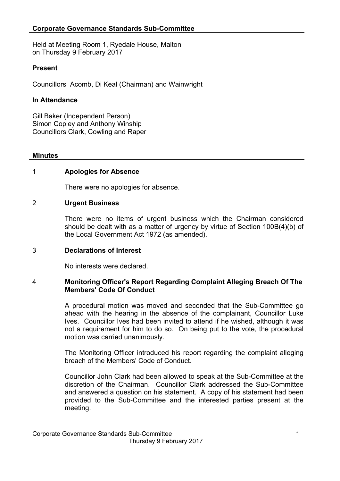Held at Meeting Room 1, Ryedale House, Malton on Thursday 9 February 2017

### **Present**

Councillors Acomb, Di Keal (Chairman) and Wainwright

### **In Attendance**

Gill Baker (Independent Person) Simon Copley and Anthony Winship Councillors Clark, Cowling and Raper

#### **Minutes**

### 1 **Apologies for Absence**

There were no apologies for absence.

### 2 **Urgent Business**

There were no items of urgent business which the Chairman considered should be dealt with as a matter of urgency by virtue of Section 100B(4)(b) of the Local Government Act 1972 (as amended).

### 3 **Declarations of Interest**

No interests were declared.

#### 4 **Monitoring Officer's Report Regarding Complaint Alleging Breach Of The Members' Code Of Conduct**

A procedural motion was moved and seconded that the Sub-Committee go ahead with the hearing in the absence of the complainant, Councillor Luke Ives. Councillor Ives had been invited to attend if he wished, although it was not a requirement for him to do so. On being put to the vote, the procedural motion was carried unanimously.

The Monitoring Officer introduced his report regarding the complaint alleging breach of the Members' Code of Conduct.

Councillor John Clark had been allowed to speak at the Sub-Committee at the discretion of the Chairman. Councillor Clark addressed the Sub-Committee and answered a question on his statement. A copy of his statement had been provided to the Sub-Committee and the interested parties present at the meeting.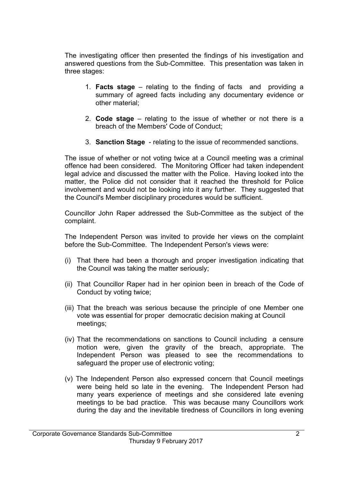The investigating officer then presented the findings of his investigation and answered questions from the Sub-Committee. This presentation was taken in three stages:

- 1. **Facts stage** relating to the finding of facts and providing a summary of agreed facts including any documentary evidence or other material;
- 2. **Code stage** relating to the issue of whether or not there is a breach of the Members' Code of Conduct;
- 3. **Sanction Stage** relating to the issue of recommended sanctions.

The issue of whether or not voting twice at a Council meeting was a criminal offence had been considered. The Monitoring Officer had taken independent legal advice and discussed the matter with the Police. Having looked into the matter, the Police did not consider that it reached the threshold for Police involvement and would not be looking into it any further. They suggested that the Council's Member disciplinary procedures would be sufficient.

Councillor John Raper addressed the Sub-Committee as the subject of the complaint.

The Independent Person was invited to provide her views on the complaint before the Sub-Committee. The Independent Person's views were:

- (i) That there had been a thorough and proper investigation indicating that the Council was taking the matter seriously;
- (ii) That Councillor Raper had in her opinion been in breach of the Code of Conduct by voting twice;
- (iii) That the breach was serious because the principle of one Member one vote was essential for proper democratic decision making at Council meetings;
- (iv) That the recommendations on sanctions to Council including a censure motion were, given the gravity of the breach, appropriate. The Independent Person was pleased to see the recommendations to safeguard the proper use of electronic voting;
- (v) The Independent Person also expressed concern that Council meetings were being held so late in the evening. The Independent Person had many years experience of meetings and she considered late evening meetings to be bad practice. This was because many Councillors work during the day and the inevitable tiredness of Councillors in long evening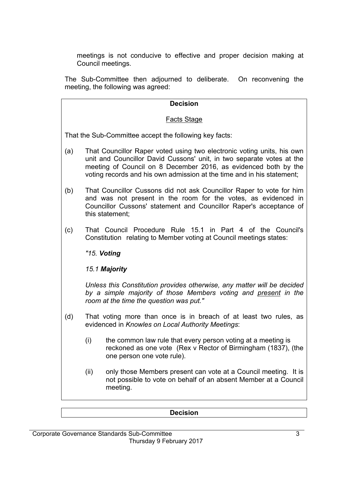meetings is not conducive to effective and proper decision making at Council meetings.

The Sub-Committee then adjourned to deliberate. On reconvening the meeting, the following was agreed:

## **Decision**

### Facts Stage

That the Sub-Committee accept the following key facts:

- (a) That Councillor Raper voted using two electronic voting units, his own unit and Councillor David Cussons' unit, in two separate votes at the meeting of Council on 8 December 2016, as evidenced both by the voting records and his own admission at the time and in his statement;
- (b) That Councillor Cussons did not ask Councillor Raper to vote for him and was not present in the room for the votes, as evidenced in Councillor Cussons' statement and Councillor Raper's acceptance of this statement;
- (c) That Council Procedure Rule 15.1 in Part 4 of the Council's Constitution relating to Member voting at Council meetings states:

*"15. Voting*

*15.1 Majority*

*Unless this Constitution provides otherwise, any matter will be decided by a simple majority of those Members voting and present in the room at the time the question was put."*

- (d) That voting more than once is in breach of at least two rules, as evidenced in *Knowles on Local Authority Meetings*:
	- (i) the common law rule that every person voting at a meeting is reckoned as one vote (Rex v Rector of Birmingham (1837), (the one person one vote rule).
	- (ii) only those Members present can vote at a Council meeting. It is not possible to vote on behalf of an absent Member at a Council meeting.

### **Decision**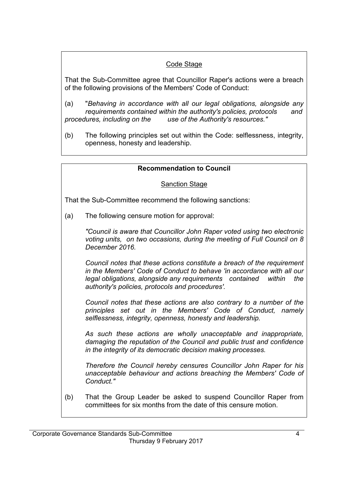# Code Stage

That the Sub-Committee agree that Councillor Raper's actions were a breach of the following provisions of the Members' Code of Conduct:

- (a) "*Behaving in accordance with all our legal obligations, alongside any requirements contained within the authority's policies, protocols and procedures, including on the use of the Authority's resources."*
- (b) The following principles set out within the Code: selflessness, integrity, openness, honesty and leadership.

# **Recommendation to Council**

# Sanction Stage

That the Sub-Committee recommend the following sanctions:

(a) The following censure motion for approval:

*"Council is aware that Councillor John Raper voted using two electronic voting units, on two occasions, during the meeting of Full Council on 8 December 2016.* 

*Council notes that these actions constitute a breach of the requirement in the Members' Code of Conduct to behave 'in accordance with all our legal obligations, alongside any requirements contained within the authority's policies, protocols and procedures'.*

*Council notes that these actions are also contrary to a number of the principles set out in the Members' Code of Conduct, namely selflessness, integrity, openness, honesty and leadership.*

*As such these actions are wholly unacceptable and inappropriate, damaging the reputation of the Council and public trust and confidence in the integrity of its democratic decision making processes.*

*Therefore the Council hereby censures Councillor John Raper for his unacceptable behaviour and actions breaching the Members' Code of Conduct."*

(b) That the Group Leader be asked to suspend Councillor Raper from committees for six months from the date of this censure motion.